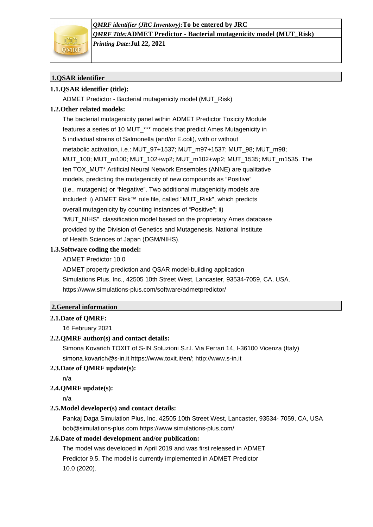*QMRF identifier (JRC Inventory):***To be entered by JRC** *QMRF Title:***ADMET Predictor - Bacterial mutagenicity model (MUT\_Risk)** *Printing Date:***Jul 22, 2021**

# **1.QSAR identifier**

# **1.1.QSAR identifier (title):**

ADMET Predictor - Bacterial mutagenicity model (MUT\_Risk)

# **1.2.Other related models:**

The bacterial mutagenicity panel within ADMET Predictor Toxicity Module features a series of 10 MUT\_\*\*\* models that predict Ames Mutagenicity in 5 individual strains of Salmonella (and/or E.coli), with or without metabolic activation, i.e.: MUT\_97+1537; MUT\_m97+1537; MUT\_98; MUT\_m98; MUT\_100; MUT\_m100; MUT\_102+wp2; MUT\_m102+wp2; MUT\_1535; MUT\_m1535. The ten TOX\_MUT\* Artificial Neural Network Ensembles (ANNE) are qualitative models, predicting the mutagenicity of new compounds as "Positive" (i.e., mutagenic) or "Negative". Two additional mutagenicity models are included: i) ADMET Risk™ rule file, called "MUT\_Risk", which predicts overall mutagenicity by counting instances of "Positive"; ii) "MUT\_NIHS", classification model based on the proprietary Ames database provided by the Division of Genetics and Mutagenesis, National Institute of Health Sciences of Japan (DGM/NIHS).

## **1.3.Software coding the model:**

ADMET Predictor 10.0

ADMET property prediction and QSAR model-building application Simulations Plus, Inc., 42505 10th Street West, Lancaster, 93534-7059, CA, USA. https://www.simulations-plus.com/software/admetpredictor/

## **2.General information**

## **2.1.Date of QMRF:**

16 February 2021

## **2.2.QMRF author(s) and contact details:**

Simona Kovarich TOXIT of S-IN Soluzioni S.r.l. Via Ferrari 14, I-36100 Vicenza (Italy) simona.kovarich@s-in.it https://www.toxit.it/en/; http://www.s-in.it

## **2.3.Date of QMRF update(s):**

n/a

## **2.4.QMRF update(s):**

n/a

## **2.5.Model developer(s) and contact details:**

Pankaj Daga Simulation Plus, Inc. 42505 10th Street West, Lancaster, 93534- 7059, CA, USA bob@simulations-plus.com https://www.simulations-plus.com/

## **2.6.Date of model development and/or publication:**

The model was developed in April 2019 and was first released in ADMET Predictor 9.5. The model is currently implemented in ADMET Predictor 10.0 (2020).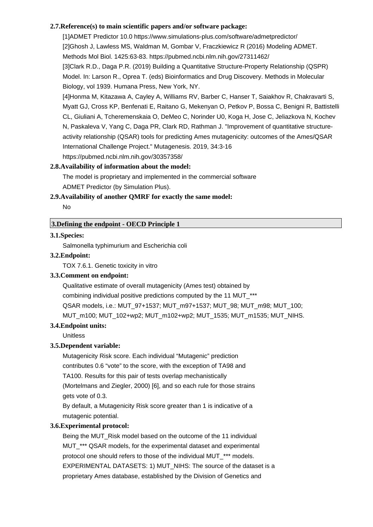## **2.7.Reference(s) to main scientific papers and/or software package:**

[1]ADMET Predictor 10.0 https://www.simulations-plus.com/software/admetpredictor/ [2]Ghosh J, Lawless MS, Waldman M, Gombar V, Fraczkiewicz R (2016) Modeling ADMET. Methods Mol Biol. 1425:63-83. https://pubmed.ncbi.nlm.nih.gov/27311462/ [3]Clark R.D., Daga P.R. (2019) Building a Quantitative Structure-Property Relationship (QSPR) Model. In: Larson R., Oprea T. (eds) Bioinformatics and Drug Discovery. Methods in Molecular Biology, vol 1939. Humana Press, New York, NY. [4]Honma M, Kitazawa A, Cayley A, Williams RV, Barber C, Hanser T, Saiakhov R, Chakravarti S, Myatt GJ, Cross KP, Benfenati E, Raitano G, Mekenyan O, Petkov P, Bossa C, Benigni R, Battistelli CL, Giuliani A, Tcheremenskaia O, DeMeo C, Norinder U0, Koga H, Jose C, Jeliazkova N, Kochev

N, Paskaleva V, Yang C, Daga PR, Clark RD, Rathman J. "Improvement of quantitative structureactivity relationship (QSAR) tools for predicting Ames mutagenicity: outcomes of the Ames/QSAR International Challenge Project." Mutagenesis. 2019, 34:3-16

https://pubmed.ncbi.nlm.nih.gov/30357358/

### **2.8.Availability of information about the model:**

The model is proprietary and implemented in the commercial software ADMET Predictor (by Simulation Plus).

### **2.9.Availability of another QMRF for exactly the same model:**

No

### **3.Defining the endpoint - OECD Principle 1**

## **3.1.Species:**

Salmonella typhimurium and Escherichia coli

#### **3.2.Endpoint:**

TOX 7.6.1. Genetic toxicity in vitro

### **3.3.Comment on endpoint:**

Qualitative estimate of overall mutagenicity (Ames test) obtained by

combining individual positive predictions computed by the 11 MUT\_\*\*\*

QSAR models, i.e.: MUT\_97+1537; MUT\_m97+1537; MUT\_98; MUT\_m98; MUT\_100;

MUT\_m100; MUT\_102+wp2; MUT\_m102+wp2; MUT\_1535; MUT\_m1535; MUT\_NIHS.

### **3.4.Endpoint units:**

Unitless

### **3.5.Dependent variable:**

Mutagenicity Risk score. Each individual "Mutagenic" prediction contributes 0.6 "vote" to the score, with the exception of TA98 and TA100. Results for this pair of tests overlap mechanistically (Mortelmans and Ziegler, 2000) [6], and so each rule for those strains gets vote of 0.3.

By default, a Mutagenicity Risk score greater than 1 is indicative of a mutagenic potential.

## **3.6.Experimental protocol:**

Being the MUT\_Risk model based on the outcome of the 11 individual MUT<sup>\*\*\*</sup> QSAR models, for the experimental dataset and experimental protocol one should refers to those of the individual MUT\_\*\*\* models. EXPERIMENTAL DATASETS: 1) MUT\_NIHS: The source of the dataset is a proprietary Ames database, established by the Division of Genetics and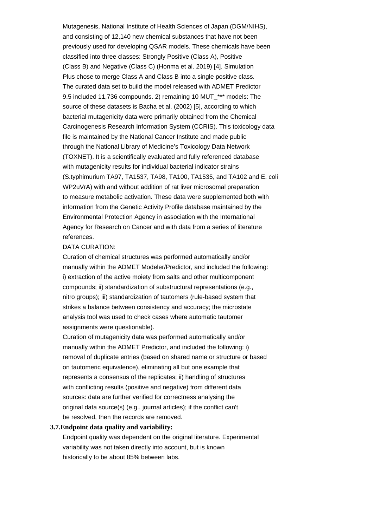Mutagenesis, National Institute of Health Sciences of Japan (DGM/NIHS), and consisting of 12,140 new chemical substances that have not been previously used for developing QSAR models. These chemicals have been classified into three classes: Strongly Positive (Class A), Positive (Class B) and Negative (Class C) (Honma et al. 2019) [4]. Simulation Plus chose to merge Class A and Class B into a single positive class. The curated data set to build the model released with ADMET Predictor 9.5 included 11,736 compounds. 2) remaining 10 MUT \*\*\* models: The source of these datasets is Bacha et al. (2002) [5], according to which bacterial mutagenicity data were primarily obtained from the Chemical Carcinogenesis Research Information System (CCRIS). This toxicology data file is maintained by the National Cancer Institute and made public through the National Library of Medicine's Toxicology Data Network (TOXNET). It is a scientifically evaluated and fully referenced database with mutagenicity results for individual bacterial indicator strains (S.typhimurium TA97, TA1537, TA98, TA100, TA1535, and TA102 and E. coli WP2uVrA) with and without addition of rat liver microsomal preparation to measure metabolic activation. These data were supplemented both with information from the Genetic Activity Profile database maintained by the Environmental Protection Agency in association with the International Agency for Research on Cancer and with data from a series of literature references.

#### DATA CURATION:

Curation of chemical structures was performed automatically and/or manually within the ADMET Modeler/Predictor, and included the following: i) extraction of the active moiety from salts and other multicomponent compounds; ii) standardization of substructural representations (e.g., nitro groups); iii) standardization of tautomers (rule-based system that strikes a balance between consistency and accuracy; the microstate analysis tool was used to check cases where automatic tautomer assignments were questionable).

Curation of mutagenicity data was performed automatically and/or manually within the ADMET Predictor, and included the following: i) removal of duplicate entries (based on shared name or structure or based on tautomeric equivalence), eliminating all but one example that represents a consensus of the replicates; ii) handling of structures with conflicting results (positive and negative) from different data sources: data are further verified for correctness analysing the original data source(s) (e.g., journal articles); if the conflict can't be resolved, then the records are removed.

### **3.7.Endpoint data quality and variability:**

Endpoint quality was dependent on the original literature. Experimental variability was not taken directly into account, but is known historically to be about 85% between labs.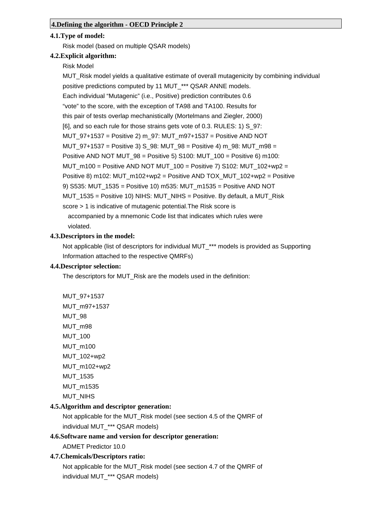### **4.1.Type of model:**

Risk model (based on multiple QSAR models)

### **4.2.Explicit algorithm:**

Risk Model

MUT\_Risk model yields a qualitative estimate of overall mutagenicity by combining individual positive predictions computed by 11 MUT \*\*\* QSAR ANNE models. Each individual "Mutagenic" (i.e., Positive) prediction contributes 0.6 "vote" to the score, with the exception of TA98 and TA100. Results for this pair of tests overlap mechanistically (Mortelmans and Ziegler, 2000) [6], and so each rule for those strains gets vote of 0.3. RULES: 1) S 97: MUT\_97+1537 = Positive 2) m\_97: MUT\_m97+1537 = Positive AND NOT MUT\_97+1537 = Positive 3) S\_98: MUT\_98 = Positive 4) m\_98: MUT\_m98 = Positive AND NOT MUT  $98 =$  Positive 5) S100: MUT  $100 =$  Positive 6) m100: MUT\_m100 = Positive AND NOT MUT\_100 = Positive 7) S102: MUT\_102+wp2 = Positive 8) m102: MUT\_m102+wp2 = Positive AND TOX\_MUT\_102+wp2 = Positive 9) S535: MUT\_1535 = Positive 10) m535: MUT\_m1535 = Positive AND NOT MUT\_1535 = Positive 10) NIHS: MUT\_NIHS = Positive. By default, a MUT\_Risk score > 1 is indicative of mutagenic potential.The Risk score is accompanied by a mnemonic Code list that indicates which rules were violated.

### **4.3.Descriptors in the model:**

Not applicable (list of descriptors for individual MUT<sup>\*\*\*</sup> models is provided as Supporting Information attached to the respective QMRFs)

### **4.4.Descriptor selection:**

The descriptors for MUT\_Risk are the models used in the definition:

MUT\_97+1537 MUT\_m97+1537 MUT\_98 MUT\_m98 MUT\_100 MUT\_m100 MUT\_102+wp2 MUT\_m102+wp2 MUT\_1535 MUT\_m1535 MUT\_NIHS

### **4.5.Algorithm and descriptor generation:**

Not applicable for the MUT\_Risk model (see section 4.5 of the QMRF of individual MUT\_\*\*\* QSAR models)

## **4.6.Software name and version for descriptor generation:**

ADMET Predictor 10.0

### **4.7.Chemicals/Descriptors ratio:**

Not applicable for the MUT\_Risk model (see section 4.7 of the QMRF of individual MUT\_\*\*\* QSAR models)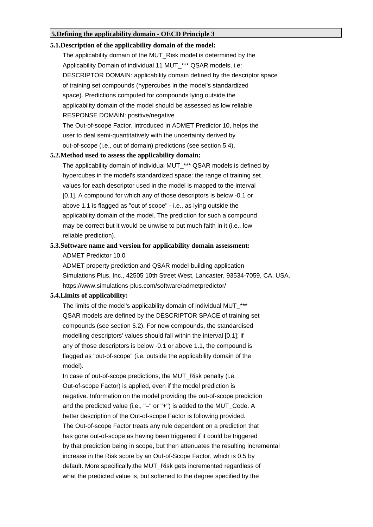### **5.Defining the applicability domain - OECD Principle 3**

### **5.1.Description of the applicability domain of the model:**

The applicability domain of the MUT\_Risk model is determined by the Applicability Domain of individual 11 MUT \*\*\* QSAR models, i.e: DESCRIPTOR DOMAIN: applicability domain defined by the descriptor space of training set compounds (hypercubes in the model's standardized space). Predictions computed for compounds lying outside the applicability domain of the model should be assessed as low reliable. RESPONSE DOMAIN: positive/negative The Out-of-scope Factor, introduced in ADMET Predictor 10, helps the

user to deal semi-quantitatively with the uncertainty derived by out-of-scope (i.e., out of domain) predictions (see section 5.4).

## **5.2.Method used to assess the applicability domain:**

The applicability domain of individual MUT \*\*\* QSAR models is defined by hypercubes in the model's standardized space: the range of training set values for each descriptor used in the model is mapped to the interval [0,1]. A compound for which any of those descriptors is below -0.1 or above 1.1 is flagged as "out of scope" - i.e., as lying outside the applicability domain of the model. The prediction for such a compound may be correct but it would be unwise to put much faith in it (i.e., low reliable prediction).

#### **5.3.Software name and version for applicability domain assessment:**

ADMET Predictor 10.0

ADMET property prediction and QSAR model-building application Simulations Plus, Inc., 42505 10th Street West, Lancaster, 93534-7059, CA, USA. https://www.simulations-plus.com/software/admetpredictor/

#### **5.4.Limits of applicability:**

The limits of the model's applicability domain of individual MUT \*\*\* QSAR models are defined by the DESCRIPTOR SPACE of training set compounds (see section 5.2). For new compounds, the standardised modelling descriptors' values should fall within the interval [0,1]; if any of those descriptors is below -0.1 or above 1.1, the compound is flagged as "out-of-scope" (i.e. outside the applicability domain of the model).

In case of out-of-scope predictions, the MUT\_Risk penalty (i.e. Out-of-scope Factor) is applied, even if the model prediction is negative. Information on the model providing the out-of-scope prediction and the predicted value (i.e., "–" or "+") is added to the MUT\_Code. A better description of the Out-of-scope Factor is following provided. The Out-of-scope Factor treats any rule dependent on a prediction that has gone out-of-scope as having been triggered if it could be triggered by that prediction being in scope, but then attenuates the resulting incremental increase in the Risk score by an Out-of-Scope Factor, which is 0.5 by default. More specifically,the MUT\_Risk gets incremented regardless of what the predicted value is, but softened to the degree specified by the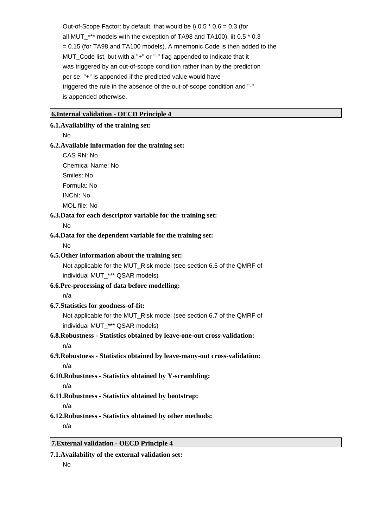Out-of-Scope Factor: by default, that would be i)  $0.5 * 0.6 = 0.3$  (for all MUT\_\*\*\* models with the exception of TA98 and TA100); ii) 0.5 \* 0.3 = 0.15 (for TA98 and TA100 models). A mnemonic Code is then added to the MUT\_Code list, but with a "+" or "-" flag appended to indicate that it was triggered by an out-of-scope condition rather than by the prediction per se: "+" is appended if the predicted value would have triggered the rule in the absence of the out-of-scope condition and "-" is appended otherwise.

### **6.Internal validation - OECD Principle 4**

#### **6.1.Availability of the training set:**

No

#### **6.2.Available information for the training set:**

CAS RN: No Chemical Name: No Smiles: No Formula: No

INChI: No

MOL file: No

### **6.3.Data for each descriptor variable for the training set:**

No

## **6.4.Data for the dependent variable for the training set:**

No

#### **6.5.Other information about the training set:**

Not applicable for the MUT\_Risk model (see section 6.5 of the QMRF of individual MUT\_\*\*\* QSAR models)

## **6.6.Pre-processing of data before modelling:**

n/a

### **6.7.Statistics for goodness-of-fit:**

Not applicable for the MUT\_Risk model (see section 6.7 of the QMRF of individual MUT<sup>\*\*\*</sup> QSAR models)

## **6.8.Robustness - Statistics obtained by leave-one-out cross-validation:**

n/a

# **6.9.Robustness - Statistics obtained by leave-many-out cross-validation:** n/a

- **6.10.Robustness Statistics obtained by Y-scrambling:** n/a
- **6.11.Robustness Statistics obtained by bootstrap:**

#### n/a

**6.12.Robustness - Statistics obtained by other methods:** n/a

# **7.External validation - OECD Principle 4**

### **7.1.Availability of the external validation set:**

No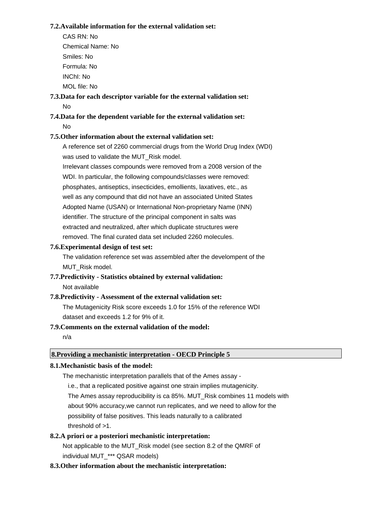### **7.2.Available information for the external validation set:**

CAS RN: No Chemical Name: No Smiles: No Formula: No INChI: No MOL file: No

**7.3.Data for each descriptor variable for the external validation set:** No

# **7.4.Data for the dependent variable for the external validation set:** No

### **7.5.Other information about the external validation set:**

A reference set of 2260 commercial drugs from the World Drug Index (WDI) was used to validate the MUT\_Risk model.

Irrelevant classes compounds were removed from a 2008 version of the WDI. In particular, the following compounds/classes were removed: phosphates, antiseptics, insecticides, emollients, laxatives, etc., as well as any compound that did not have an associated United States Adopted Name (USAN) or International Non-proprietary Name (INN) identifier. The structure of the principal component in salts was extracted and neutralized, after which duplicate structures were removed. The final curated data set included 2260 molecules.

### **7.6.Experimental design of test set:**

The validation reference set was assembled after the develompent of the MUT\_Risk model.

## **7.7.Predictivity - Statistics obtained by external validation:** Not available

**7.8.Predictivity - Assessment of the external validation set:** The Mutagenicity Risk score exceeds 1.0 for 15% of the reference WDI dataset and exceeds 1.2 for 9% of it.

### **7.9.Comments on the external validation of the model:**

n/a

# **8.Providing a mechanistic interpretation - OECD Principle 5**

## **8.1.Mechanistic basis of the model:**

The mechanistic interpretation parallels that of the Ames assay -

i.e., that a replicated positive against one strain implies mutagenicity.

The Ames assay reproducibility is ca 85%. MUT\_Risk combines 11 models with

about 90% accuracy,we cannot run replicates, and we need to allow for the

 possibility of false positives. This leads naturally to a calibrated threshold of  $>1$ .

#### **8.2.A priori or a posteriori mechanistic interpretation:**

Not applicable to the MUT\_Risk model (see section 8.2 of the QMRF of individual MUT<sup>\*\*\*</sup> QSAR models)

#### **8.3.Other information about the mechanistic interpretation:**